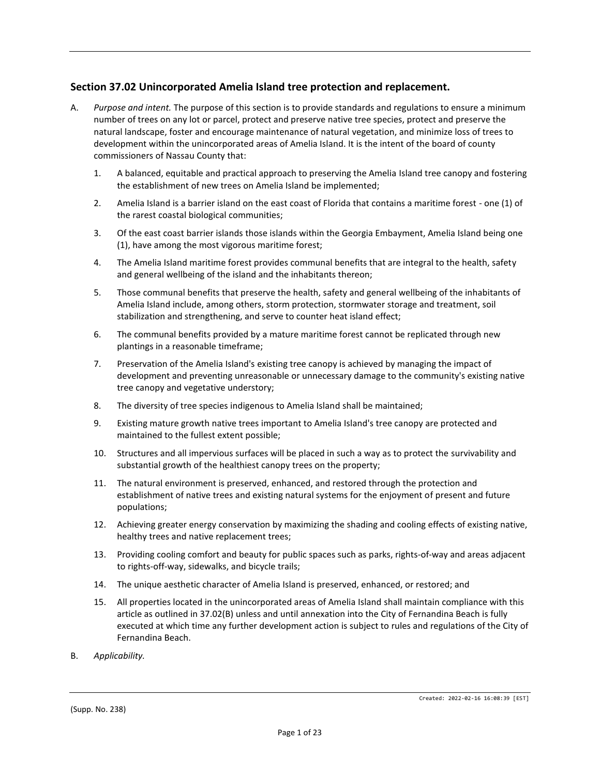## **Section 37.02 Unincorporated Amelia Island tree protection and replacement.**

- A. *Purpose and intent.* The purpose of this section is to provide standards and regulations to ensure a minimum number of trees on any lot or parcel, protect and preserve native tree species, protect and preserve the natural landscape, foster and encourage maintenance of natural vegetation, and minimize loss of trees to development within the unincorporated areas of Amelia Island. It is the intent of the board of county commissioners of Nassau County that:
	- 1. A balanced, equitable and practical approach to preserving the Amelia Island tree canopy and fostering the establishment of new trees on Amelia Island be implemented;
	- 2. Amelia Island is a barrier island on the east coast of Florida that contains a maritime forest one (1) of the rarest coastal biological communities;
	- 3. Of the east coast barrier islands those islands within the Georgia Embayment, Amelia Island being one (1), have among the most vigorous maritime forest;
	- 4. The Amelia Island maritime forest provides communal benefits that are integral to the health, safety and general wellbeing of the island and the inhabitants thereon;
	- 5. Those communal benefits that preserve the health, safety and general wellbeing of the inhabitants of Amelia Island include, among others, storm protection, stormwater storage and treatment, soil stabilization and strengthening, and serve to counter heat island effect;
	- 6. The communal benefits provided by a mature maritime forest cannot be replicated through new plantings in a reasonable timeframe;
	- 7. Preservation of the Amelia Island's existing tree canopy is achieved by managing the impact of development and preventing unreasonable or unnecessary damage to the community's existing native tree canopy and vegetative understory;
	- 8. The diversity of tree species indigenous to Amelia Island shall be maintained;
	- 9. Existing mature growth native trees important to Amelia Island's tree canopy are protected and maintained to the fullest extent possible;
	- 10. Structures and all impervious surfaces will be placed in such a way as to protect the survivability and substantial growth of the healthiest canopy trees on the property;
	- 11. The natural environment is preserved, enhanced, and restored through the protection and establishment of native trees and existing natural systems for the enjoyment of present and future populations;
	- 12. Achieving greater energy conservation by maximizing the shading and cooling effects of existing native, healthy trees and native replacement trees;
	- 13. Providing cooling comfort and beauty for public spaces such as parks, rights-of-way and areas adjacent to rights-off-way, sidewalks, and bicycle trails;
	- 14. The unique aesthetic character of Amelia Island is preserved, enhanced, or restored; and
	- 15. All properties located in the unincorporated areas of Amelia Island shall maintain compliance with this article as outlined in 37.02(B) unless and until annexation into the City of Fernandina Beach is fully executed at which time any further development action is subject to rules and regulations of the City of Fernandina Beach.
- B. *Applicability.*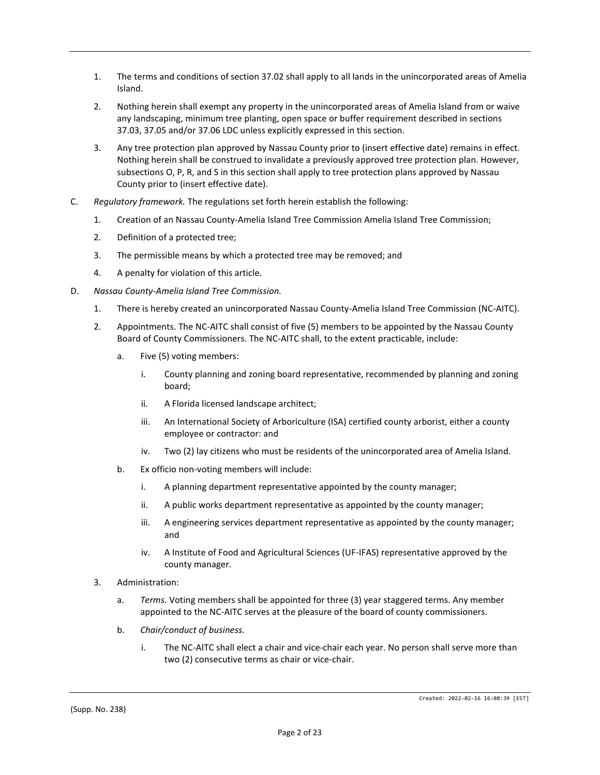- 1. The terms and conditions of section 37.02 shall apply to all lands in the unincorporated areas of Amelia Island.
- 2. Nothing herein shall exempt any property in the unincorporated areas of Amelia Island from or waive any landscaping, minimum tree planting, open space or buffer requirement described in sections 37.03, 37.05 and/or 37.06 LDC unless explicitly expressed in this section.
- 3. Any tree protection plan approved by Nassau County prior to (insert effective date) remains in effect. Nothing herein shall be construed to invalidate a previously approved tree protection plan. However, subsections O, P, R, and S in this section shall apply to tree protection plans approved by Nassau County prior to (insert effective date).
- C. *Regulatory framework.* The regulations set forth herein establish the following:
	- 1. Creation of an Nassau County-Amelia Island Tree Commission Amelia Island Tree Commission;
	- 2. Definition of a protected tree;
	- 3. The permissible means by which a protected tree may be removed; and
	- 4. A penalty for violation of this article.
- D. *Nassau County-Amelia Island Tree Commission.*
	- 1. There is hereby created an unincorporated Nassau County-Amelia Island Tree Commission (NC-AITC).
	- 2. Appointments. The NC-AITC shall consist of five (5) members to be appointed by the Nassau County Board of County Commissioners. The NC-AITC shall, to the extent practicable, include:
		- a. Five (5) voting members:
			- i. County planning and zoning board representative, recommended by planning and zoning board;
			- ii. A Florida licensed landscape architect;
			- iii. An International Society of Arboriculture (ISA) certified county arborist, either a county employee or contractor: and
			- iv. Two (2) lay citizens who must be residents of the unincorporated area of Amelia Island.
		- b. Ex officio non-voting members will include:
			- i. A planning department representative appointed by the county manager;
			- ii. A public works department representative as appointed by the county manager;
			- iii. A engineering services department representative as appointed by the county manager; and
			- iv. A Institute of Food and Agricultural Sciences (UF-IFAS) representative approved by the county manager.
	- 3. Administration:
		- a. *Terms.* Voting members shall be appointed for three (3) year staggered terms. Any member appointed to the NC-AITC serves at the pleasure of the board of county commissioners.
		- b. *Chair/conduct of business.*
			- i. The NC-AITC shall elect a chair and vice-chair each year. No person shall serve more than two (2) consecutive terms as chair or vice-chair.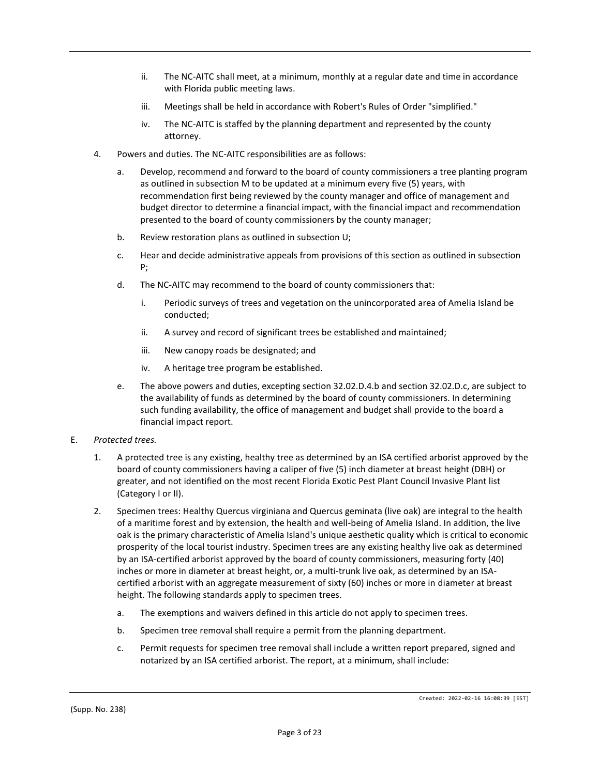- ii. The NC-AITC shall meet, at a minimum, monthly at a regular date and time in accordance with Florida public meeting laws.
- iii. Meetings shall be held in accordance with Robert's Rules of Order "simplified."
- iv. The NC-AITC is staffed by the planning department and represented by the county attorney.
- 4. Powers and duties. The NC-AITC responsibilities are as follows:
	- a. Develop, recommend and forward to the board of county commissioners a tree planting program as outlined in subsection M to be updated at a minimum every five (5) years, with recommendation first being reviewed by the county manager and office of management and budget director to determine a financial impact, with the financial impact and recommendation presented to the board of county commissioners by the county manager;
	- b. Review restoration plans as outlined in subsection U;
	- c. Hear and decide administrative appeals from provisions of this section as outlined in subsection P;
	- d. The NC-AITC may recommend to the board of county commissioners that:
		- i. Periodic surveys of trees and vegetation on the unincorporated area of Amelia Island be conducted;
		- ii. A survey and record of significant trees be established and maintained;
		- iii. New canopy roads be designated; and
		- iv. A heritage tree program be established.
	- e. The above powers and duties, excepting section 32.02.D.4.b and section 32.02.D.c, are subject to the availability of funds as determined by the board of county commissioners. In determining such funding availability, the office of management and budget shall provide to the board a financial impact report.
- E. *Protected trees.*
	- 1. A protected tree is any existing, healthy tree as determined by an ISA certified arborist approved by the board of county commissioners having a caliper of five (5) inch diameter at breast height (DBH) or greater, and not identified on the most recent Florida Exotic Pest Plant Council Invasive Plant list (Category I or II).
	- 2. Specimen trees: Healthy Quercus virginiana and Quercus geminata (live oak) are integral to the health of a maritime forest and by extension, the health and well-being of Amelia Island. In addition, the live oak is the primary characteristic of Amelia Island's unique aesthetic quality which is critical to economic prosperity of the local tourist industry. Specimen trees are any existing healthy live oak as determined by an ISA-certified arborist approved by the board of county commissioners, measuring forty (40) inches or more in diameter at breast height, or, a multi-trunk live oak, as determined by an ISAcertified arborist with an aggregate measurement of sixty (60) inches or more in diameter at breast height. The following standards apply to specimen trees.
		- a. The exemptions and waivers defined in this article do not apply to specimen trees.
		- b. Specimen tree removal shall require a permit from the planning department.
		- c. Permit requests for specimen tree removal shall include a written report prepared, signed and notarized by an ISA certified arborist. The report, at a minimum, shall include: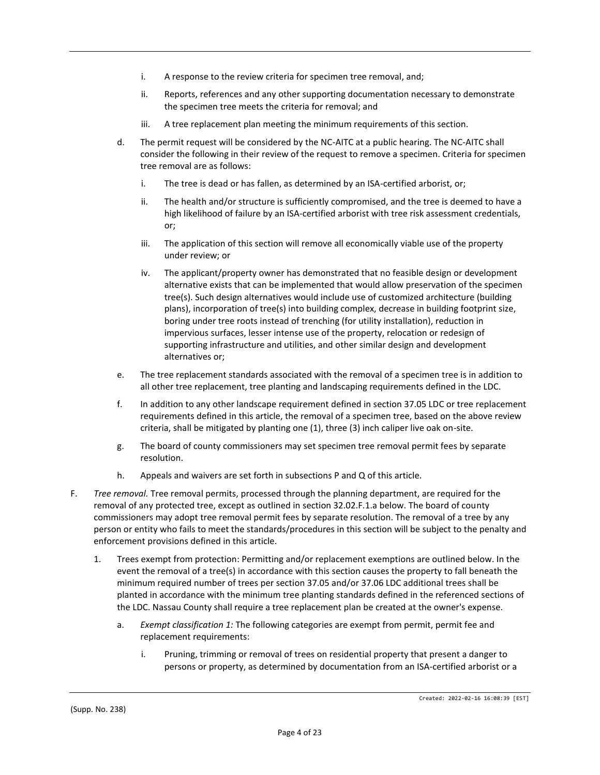- i. A response to the review criteria for specimen tree removal, and;
- ii. Reports, references and any other supporting documentation necessary to demonstrate the specimen tree meets the criteria for removal; and
- iii. A tree replacement plan meeting the minimum requirements of this section.
- d. The permit request will be considered by the NC-AITC at a public hearing. The NC-AITC shall consider the following in their review of the request to remove a specimen. Criteria for specimen tree removal are as follows:
	- i. The tree is dead or has fallen, as determined by an ISA-certified arborist, or;
	- ii. The health and/or structure is sufficiently compromised, and the tree is deemed to have a high likelihood of failure by an ISA-certified arborist with tree risk assessment credentials, or;
	- iii. The application of this section will remove all economically viable use of the property under review; or
	- iv. The applicant/property owner has demonstrated that no feasible design or development alternative exists that can be implemented that would allow preservation of the specimen tree(s). Such design alternatives would include use of customized architecture (building plans), incorporation of tree(s) into building complex, decrease in building footprint size, boring under tree roots instead of trenching (for utility installation), reduction in impervious surfaces, lesser intense use of the property, relocation or redesign of supporting infrastructure and utilities, and other similar design and development alternatives or;
- e. The tree replacement standards associated with the removal of a specimen tree is in addition to all other tree replacement, tree planting and landscaping requirements defined in the LDC.
- f. In addition to any other landscape requirement defined in section 37.05 LDC or tree replacement requirements defined in this article, the removal of a specimen tree, based on the above review criteria, shall be mitigated by planting one (1), three (3) inch caliper live oak on-site.
- g. The board of county commissioners may set specimen tree removal permit fees by separate resolution.
- h. Appeals and waivers are set forth in subsections P and Q of this article.
- F. *Tree removal.* Tree removal permits, processed through the planning department, are required for the removal of any protected tree, except as outlined in section 32.02.F.1.a below. The board of county commissioners may adopt tree removal permit fees by separate resolution. The removal of a tree by any person or entity who fails to meet the standards/procedures in this section will be subject to the penalty and enforcement provisions defined in this article.
	- 1. Trees exempt from protection: Permitting and/or replacement exemptions are outlined below. In the event the removal of a tree(s) in accordance with this section causes the property to fall beneath the minimum required number of trees per section 37.05 and/or 37.06 LDC additional trees shall be planted in accordance with the minimum tree planting standards defined in the referenced sections of the LDC. Nassau County shall require a tree replacement plan be created at the owner's expense.
		- a. *Exempt classification 1:* The following categories are exempt from permit, permit fee and replacement requirements:
			- i. Pruning, trimming or removal of trees on residential property that present a danger to persons or property, as determined by documentation from an ISA-certified arborist or a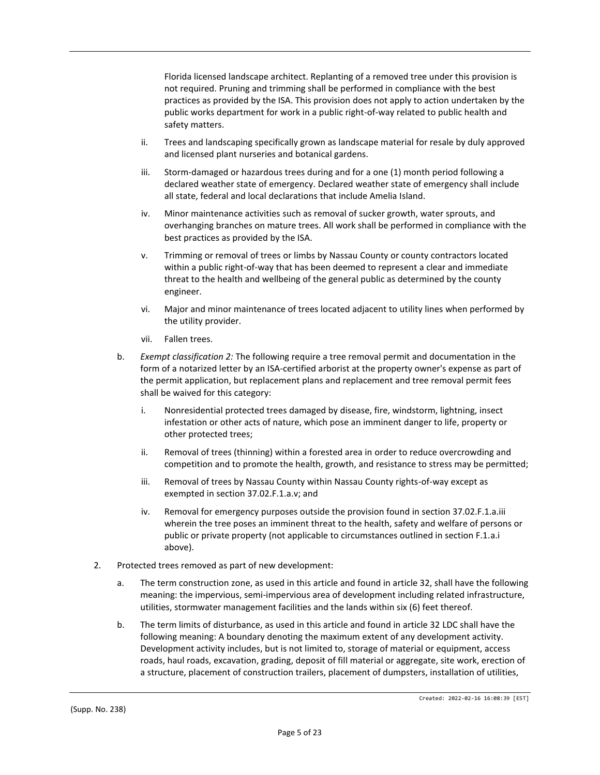Florida licensed landscape architect. Replanting of a removed tree under this provision is not required. Pruning and trimming shall be performed in compliance with the best practices as provided by the ISA. This provision does not apply to action undertaken by the public works department for work in a public right-of-way related to public health and safety matters.

- ii. Trees and landscaping specifically grown as landscape material for resale by duly approved and licensed plant nurseries and botanical gardens.
- iii. Storm-damaged or hazardous trees during and for a one (1) month period following a declared weather state of emergency. Declared weather state of emergency shall include all state, federal and local declarations that include Amelia Island.
- iv. Minor maintenance activities such as removal of sucker growth, water sprouts, and overhanging branches on mature trees. All work shall be performed in compliance with the best practices as provided by the ISA.
- v. Trimming or removal of trees or limbs by Nassau County or county contractors located within a public right-of-way that has been deemed to represent a clear and immediate threat to the health and wellbeing of the general public as determined by the county engineer.
- vi. Major and minor maintenance of trees located adjacent to utility lines when performed by the utility provider.
- vii. Fallen trees.
- b. *Exempt classification 2:* The following require a tree removal permit and documentation in the form of a notarized letter by an ISA-certified arborist at the property owner's expense as part of the permit application, but replacement plans and replacement and tree removal permit fees shall be waived for this category:
	- i. Nonresidential protected trees damaged by disease, fire, windstorm, lightning, insect infestation or other acts of nature, which pose an imminent danger to life, property or other protected trees;
	- ii. Removal of trees (thinning) within a forested area in order to reduce overcrowding and competition and to promote the health, growth, and resistance to stress may be permitted;
	- iii. Removal of trees by Nassau County within Nassau County rights-of-way except as exempted in section 37.02.F.1.a.v; and
	- iv. Removal for emergency purposes outside the provision found in section 37.02.F.1.a.iii wherein the tree poses an imminent threat to the health, safety and welfare of persons or public or private property (not applicable to circumstances outlined in section F.1.a.i above).
- 2. Protected trees removed as part of new development:
	- a. The term construction zone, as used in this article and found in article 32, shall have the following meaning: the impervious, semi-impervious area of development including related infrastructure, utilities, stormwater management facilities and the lands within six (6) feet thereof.
	- b. The term limits of disturbance, as used in this article and found in article 32 LDC shall have the following meaning: A boundary denoting the maximum extent of any development activity. Development activity includes, but is not limited to, storage of material or equipment, access roads, haul roads, excavation, grading, deposit of fill material or aggregate, site work, erection of a structure, placement of construction trailers, placement of dumpsters, installation of utilities,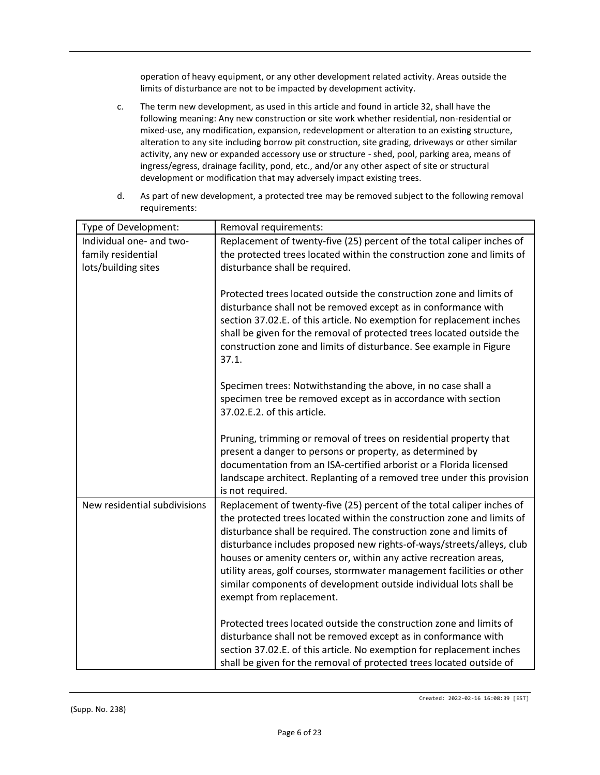operation of heavy equipment, or any other development related activity. Areas outside the limits of disturbance are not to be impacted by development activity.

- c. The term new development, as used in this article and found in article 32, shall have the following meaning: Any new construction or site work whether residential, non-residential or mixed-use, any modification, expansion, redevelopment or alteration to an existing structure, alteration to any site including borrow pit construction, site grading, driveways or other similar activity, any new or expanded accessory use or structure - shed, pool, parking area, means of ingress/egress, drainage facility, pond, etc., and/or any other aspect of site or structural development or modification that may adversely impact existing trees.
- d. As part of new development, a protected tree may be removed subject to the following removal requirements:

| Type of Development:         | Removal requirements:                                                                                                                                                                                                                                                                                                                                                                                                                                                                                                                            |
|------------------------------|--------------------------------------------------------------------------------------------------------------------------------------------------------------------------------------------------------------------------------------------------------------------------------------------------------------------------------------------------------------------------------------------------------------------------------------------------------------------------------------------------------------------------------------------------|
| Individual one- and two-     | Replacement of twenty-five (25) percent of the total caliper inches of                                                                                                                                                                                                                                                                                                                                                                                                                                                                           |
| family residential           | the protected trees located within the construction zone and limits of                                                                                                                                                                                                                                                                                                                                                                                                                                                                           |
| lots/building sites          | disturbance shall be required.                                                                                                                                                                                                                                                                                                                                                                                                                                                                                                                   |
|                              | Protected trees located outside the construction zone and limits of<br>disturbance shall not be removed except as in conformance with<br>section 37.02.E. of this article. No exemption for replacement inches<br>shall be given for the removal of protected trees located outside the<br>construction zone and limits of disturbance. See example in Figure<br>37.1.                                                                                                                                                                           |
|                              | Specimen trees: Notwithstanding the above, in no case shall a<br>specimen tree be removed except as in accordance with section<br>37.02.E.2. of this article.                                                                                                                                                                                                                                                                                                                                                                                    |
|                              | Pruning, trimming or removal of trees on residential property that<br>present a danger to persons or property, as determined by<br>documentation from an ISA-certified arborist or a Florida licensed<br>landscape architect. Replanting of a removed tree under this provision<br>is not required.                                                                                                                                                                                                                                              |
| New residential subdivisions | Replacement of twenty-five (25) percent of the total caliper inches of<br>the protected trees located within the construction zone and limits of<br>disturbance shall be required. The construction zone and limits of<br>disturbance includes proposed new rights-of-ways/streets/alleys, club<br>houses or amenity centers or, within any active recreation areas,<br>utility areas, golf courses, stormwater management facilities or other<br>similar components of development outside individual lots shall be<br>exempt from replacement. |
|                              | Protected trees located outside the construction zone and limits of<br>disturbance shall not be removed except as in conformance with<br>section 37.02.E. of this article. No exemption for replacement inches<br>shall be given for the removal of protected trees located outside of                                                                                                                                                                                                                                                           |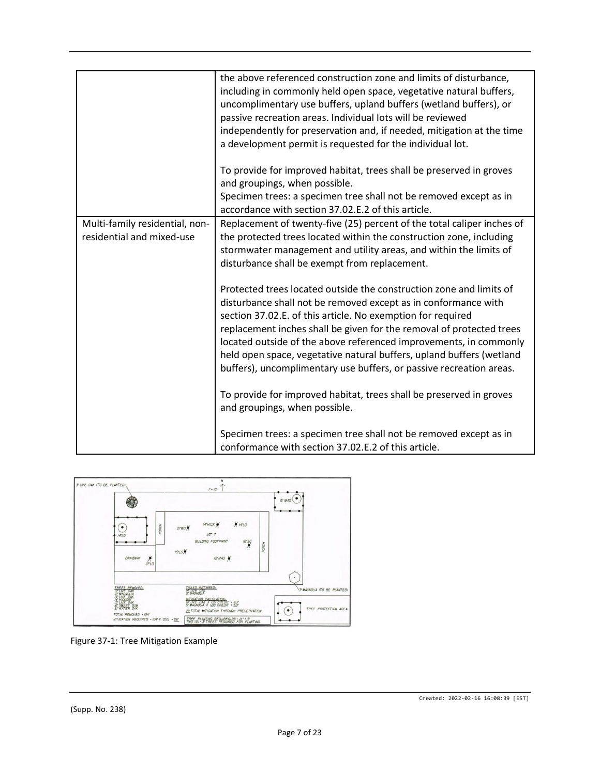|                                                             | the above referenced construction zone and limits of disturbance,<br>including in commonly held open space, vegetative natural buffers,<br>uncomplimentary use buffers, upland buffers (wetland buffers), or<br>passive recreation areas. Individual lots will be reviewed<br>independently for preservation and, if needed, mitigation at the time<br>a development permit is requested for the individual lot.                                                                                 |
|-------------------------------------------------------------|--------------------------------------------------------------------------------------------------------------------------------------------------------------------------------------------------------------------------------------------------------------------------------------------------------------------------------------------------------------------------------------------------------------------------------------------------------------------------------------------------|
|                                                             | To provide for improved habitat, trees shall be preserved in groves<br>and groupings, when possible.<br>Specimen trees: a specimen tree shall not be removed except as in                                                                                                                                                                                                                                                                                                                        |
|                                                             | accordance with section 37.02.E.2 of this article.                                                                                                                                                                                                                                                                                                                                                                                                                                               |
| Multi-family residential, non-<br>residential and mixed-use | Replacement of twenty-five (25) percent of the total caliper inches of<br>the protected trees located within the construction zone, including<br>stormwater management and utility areas, and within the limits of<br>disturbance shall be exempt from replacement.                                                                                                                                                                                                                              |
|                                                             | Protected trees located outside the construction zone and limits of<br>disturbance shall not be removed except as in conformance with<br>section 37.02.E. of this article. No exemption for required<br>replacement inches shall be given for the removal of protected trees<br>located outside of the above referenced improvements, in commonly<br>held open space, vegetative natural buffers, upland buffers (wetland<br>buffers), uncomplimentary use buffers, or passive recreation areas. |
|                                                             | To provide for improved habitat, trees shall be preserved in groves<br>and groupings, when possible.                                                                                                                                                                                                                                                                                                                                                                                             |
|                                                             | Specimen trees: a specimen tree shall not be removed except as in<br>conformance with section 37.02.E.2 of this article.                                                                                                                                                                                                                                                                                                                                                                         |



Figure 37-1: Tree Mitigation Example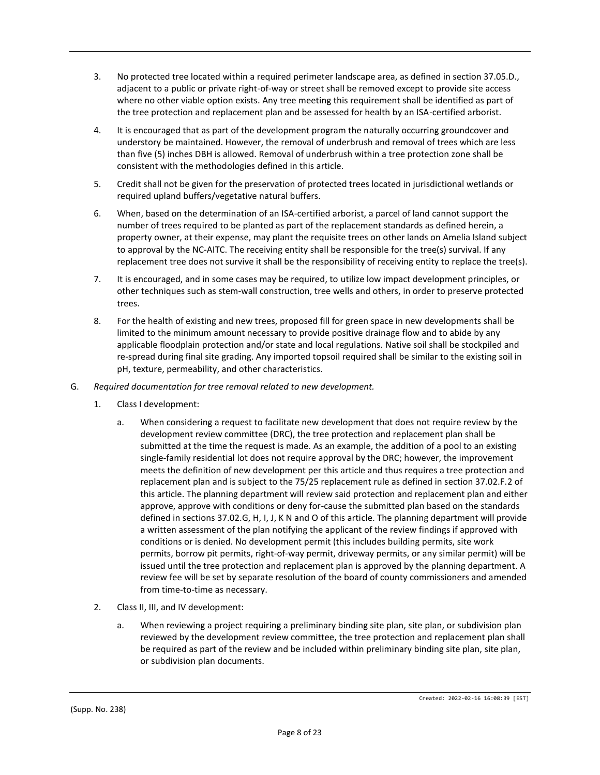- 3. No protected tree located within a required perimeter landscape area, as defined in section 37.05.D., adjacent to a public or private right-of-way or street shall be removed except to provide site access where no other viable option exists. Any tree meeting this requirement shall be identified as part of the tree protection and replacement plan and be assessed for health by an ISA-certified arborist.
- 4. It is encouraged that as part of the development program the naturally occurring groundcover and understory be maintained. However, the removal of underbrush and removal of trees which are less than five (5) inches DBH is allowed. Removal of underbrush within a tree protection zone shall be consistent with the methodologies defined in this article.
- 5. Credit shall not be given for the preservation of protected trees located in jurisdictional wetlands or required upland buffers/vegetative natural buffers.
- 6. When, based on the determination of an ISA-certified arborist, a parcel of land cannot support the number of trees required to be planted as part of the replacement standards as defined herein, a property owner, at their expense, may plant the requisite trees on other lands on Amelia Island subject to approval by the NC-AITC. The receiving entity shall be responsible for the tree(s) survival. If any replacement tree does not survive it shall be the responsibility of receiving entity to replace the tree(s).
- 7. It is encouraged, and in some cases may be required, to utilize low impact development principles, or other techniques such as stem-wall construction, tree wells and others, in order to preserve protected trees.
- 8. For the health of existing and new trees, proposed fill for green space in new developments shall be limited to the minimum amount necessary to provide positive drainage flow and to abide by any applicable floodplain protection and/or state and local regulations. Native soil shall be stockpiled and re-spread during final site grading. Any imported topsoil required shall be similar to the existing soil in pH, texture, permeability, and other characteristics.
- G. *Required documentation for tree removal related to new development.*
	- 1. Class I development:
		- a. When considering a request to facilitate new development that does not require review by the development review committee (DRC), the tree protection and replacement plan shall be submitted at the time the request is made. As an example, the addition of a pool to an existing single-family residential lot does not require approval by the DRC; however, the improvement meets the definition of new development per this article and thus requires a tree protection and replacement plan and is subject to the 75/25 replacement rule as defined in section 37.02.F.2 of this article. The planning department will review said protection and replacement plan and either approve, approve with conditions or deny for-cause the submitted plan based on the standards defined in sections 37.02.G, H, I, J, K N and O of this article. The planning department will provide a written assessment of the plan notifying the applicant of the review findings if approved with conditions or is denied. No development permit (this includes building permits, site work permits, borrow pit permits, right-of-way permit, driveway permits, or any similar permit) will be issued until the tree protection and replacement plan is approved by the planning department. A review fee will be set by separate resolution of the board of county commissioners and amended from time-to-time as necessary.
	- 2. Class II, III, and IV development:
		- a. When reviewing a project requiring a preliminary binding site plan, site plan, or subdivision plan reviewed by the development review committee, the tree protection and replacement plan shall be required as part of the review and be included within preliminary binding site plan, site plan, or subdivision plan documents.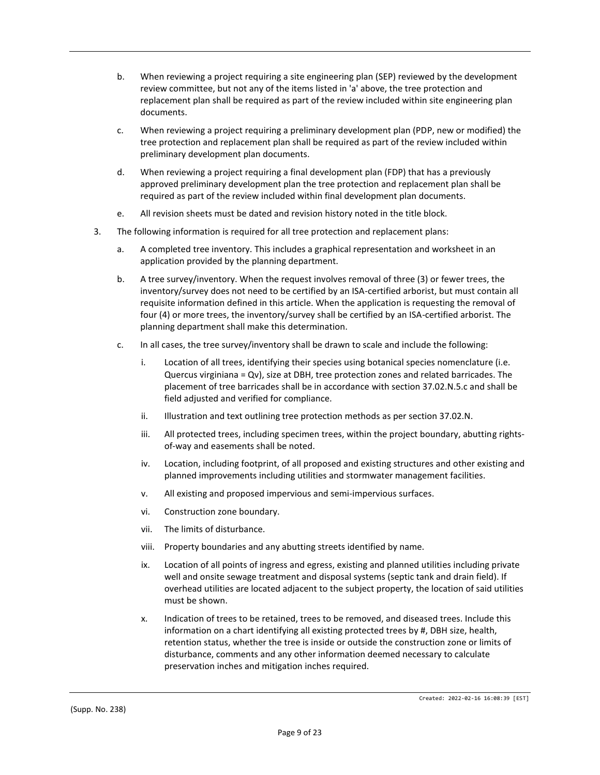- b. When reviewing a project requiring a site engineering plan (SEP) reviewed by the development review committee, but not any of the items listed in 'a' above, the tree protection and replacement plan shall be required as part of the review included within site engineering plan documents.
- c. When reviewing a project requiring a preliminary development plan (PDP, new or modified) the tree protection and replacement plan shall be required as part of the review included within preliminary development plan documents.
- d. When reviewing a project requiring a final development plan (FDP) that has a previously approved preliminary development plan the tree protection and replacement plan shall be required as part of the review included within final development plan documents.
- e. All revision sheets must be dated and revision history noted in the title block.
- 3. The following information is required for all tree protection and replacement plans:
	- a. A completed tree inventory. This includes a graphical representation and worksheet in an application provided by the planning department.
	- b. A tree survey/inventory. When the request involves removal of three (3) or fewer trees, the inventory/survey does not need to be certified by an ISA-certified arborist, but must contain all requisite information defined in this article. When the application is requesting the removal of four (4) or more trees, the inventory/survey shall be certified by an ISA-certified arborist. The planning department shall make this determination.
	- c. In all cases, the tree survey/inventory shall be drawn to scale and include the following:
		- i. Location of all trees, identifying their species using botanical species nomenclature (i.e. Quercus virginiana = Qv), size at DBH, tree protection zones and related barricades. The placement of tree barricades shall be in accordance with section 37.02.N.5.c and shall be field adjusted and verified for compliance.
		- ii. Illustration and text outlining tree protection methods as per section 37.02.N.
		- iii. All protected trees, including specimen trees, within the project boundary, abutting rightsof-way and easements shall be noted.
		- iv. Location, including footprint, of all proposed and existing structures and other existing and planned improvements including utilities and stormwater management facilities.
		- v. All existing and proposed impervious and semi-impervious surfaces.
		- vi. Construction zone boundary.
		- vii. The limits of disturbance.
		- viii. Property boundaries and any abutting streets identified by name.
		- ix. Location of all points of ingress and egress, existing and planned utilities including private well and onsite sewage treatment and disposal systems (septic tank and drain field). If overhead utilities are located adjacent to the subject property, the location of said utilities must be shown.
		- x. Indication of trees to be retained, trees to be removed, and diseased trees. Include this information on a chart identifying all existing protected trees by #, DBH size, health, retention status, whether the tree is inside or outside the construction zone or limits of disturbance, comments and any other information deemed necessary to calculate preservation inches and mitigation inches required.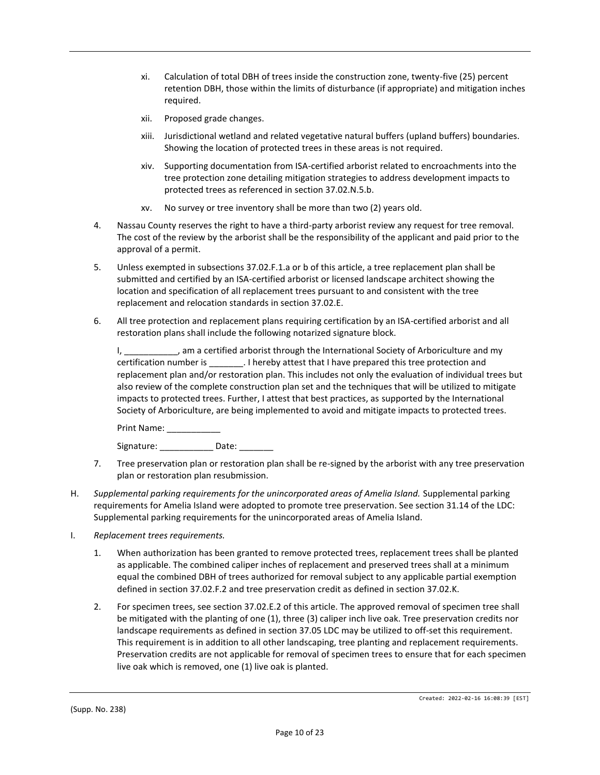- xi. Calculation of total DBH of trees inside the construction zone, twenty-five (25) percent retention DBH, those within the limits of disturbance (if appropriate) and mitigation inches required.
- xii. Proposed grade changes.
- xiii. Jurisdictional wetland and related vegetative natural buffers (upland buffers) boundaries. Showing the location of protected trees in these areas is not required.
- xiv. Supporting documentation from ISA-certified arborist related to encroachments into the tree protection zone detailing mitigation strategies to address development impacts to protected trees as referenced in section 37.02.N.5.b.
- xv. No survey or tree inventory shall be more than two (2) years old.
- 4. Nassau County reserves the right to have a third-party arborist review any request for tree removal. The cost of the review by the arborist shall be the responsibility of the applicant and paid prior to the approval of a permit.
- 5. Unless exempted in subsections 37.02.F.1.a or b of this article, a tree replacement plan shall be submitted and certified by an ISA-certified arborist or licensed landscape architect showing the location and specification of all replacement trees pursuant to and consistent with the tree replacement and relocation standards in section 37.02.E.
- 6. All tree protection and replacement plans requiring certification by an ISA-certified arborist and all restoration plans shall include the following notarized signature block.

I, \_\_\_\_\_\_\_\_\_\_\_, am a certified arborist through the International Society of Arboriculture and my certification number is \_\_\_\_\_\_\_. I hereby attest that I have prepared this tree protection and replacement plan and/or restoration plan. This includes not only the evaluation of individual trees but also review of the complete construction plan set and the techniques that will be utilized to mitigate impacts to protected trees. Further, I attest that best practices, as supported by the International Society of Arboriculture, are being implemented to avoid and mitigate impacts to protected trees.

Print Name: \_\_\_\_\_\_

Signature: Date:

- 7. Tree preservation plan or restoration plan shall be re-signed by the arborist with any tree preservation plan or restoration plan resubmission.
- H. *Supplemental parking requirements for the unincorporated areas of Amelia Island.* Supplemental parking requirements for Amelia Island were adopted to promote tree preservation. See section 31.14 of the LDC: Supplemental parking requirements for the unincorporated areas of Amelia Island.
- I. *Replacement trees requirements.*
	- 1. When authorization has been granted to remove protected trees, replacement trees shall be planted as applicable. The combined caliper inches of replacement and preserved trees shall at a minimum equal the combined DBH of trees authorized for removal subject to any applicable partial exemption defined in section 37.02.F.2 and tree preservation credit as defined in section 37.02.K.
	- 2. For specimen trees, see section 37.02.E.2 of this article. The approved removal of specimen tree shall be mitigated with the planting of one (1), three (3) caliper inch live oak. Tree preservation credits nor landscape requirements as defined in section 37.05 LDC may be utilized to off-set this requirement. This requirement is in addition to all other landscaping, tree planting and replacement requirements. Preservation credits are not applicable for removal of specimen trees to ensure that for each specimen live oak which is removed, one (1) live oak is planted.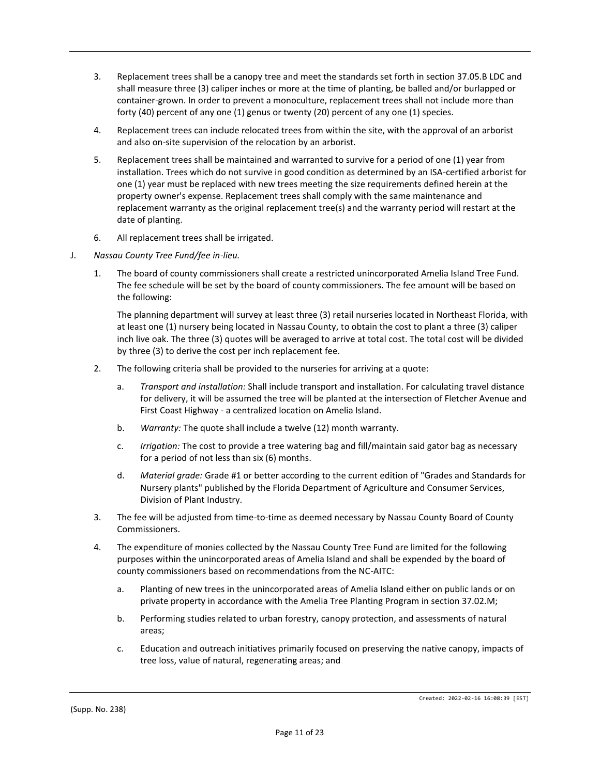- 3. Replacement trees shall be a canopy tree and meet the standards set forth in section 37.05.B LDC and shall measure three (3) caliper inches or more at the time of planting, be balled and/or burlapped or container-grown. In order to prevent a monoculture, replacement trees shall not include more than forty (40) percent of any one (1) genus or twenty (20) percent of any one (1) species.
- 4. Replacement trees can include relocated trees from within the site, with the approval of an arborist and also on-site supervision of the relocation by an arborist.
- 5. Replacement trees shall be maintained and warranted to survive for a period of one (1) year from installation. Trees which do not survive in good condition as determined by an ISA-certified arborist for one (1) year must be replaced with new trees meeting the size requirements defined herein at the property owner's expense. Replacement trees shall comply with the same maintenance and replacement warranty as the original replacement tree(s) and the warranty period will restart at the date of planting.
- 6. All replacement trees shall be irrigated.
- J. *Nassau County Tree Fund/fee in-lieu.*
	- 1. The board of county commissioners shall create a restricted unincorporated Amelia Island Tree Fund. The fee schedule will be set by the board of county commissioners. The fee amount will be based on the following:

The planning department will survey at least three (3) retail nurseries located in Northeast Florida, with at least one (1) nursery being located in Nassau County, to obtain the cost to plant a three (3) caliper inch live oak. The three (3) quotes will be averaged to arrive at total cost. The total cost will be divided by three (3) to derive the cost per inch replacement fee.

- 2. The following criteria shall be provided to the nurseries for arriving at a quote:
	- a. *Transport and installation:* Shall include transport and installation. For calculating travel distance for delivery, it will be assumed the tree will be planted at the intersection of Fletcher Avenue and First Coast Highway - a centralized location on Amelia Island.
	- b. *Warranty:* The quote shall include a twelve (12) month warranty.
	- c. *Irrigation:* The cost to provide a tree watering bag and fill/maintain said gator bag as necessary for a period of not less than six (6) months.
	- d. *Material grade:* Grade #1 or better according to the current edition of "Grades and Standards for Nursery plants" published by the Florida Department of Agriculture and Consumer Services, Division of Plant Industry.
- 3. The fee will be adjusted from time-to-time as deemed necessary by Nassau County Board of County Commissioners.
- 4. The expenditure of monies collected by the Nassau County Tree Fund are limited for the following purposes within the unincorporated areas of Amelia Island and shall be expended by the board of county commissioners based on recommendations from the NC-AITC:
	- a. Planting of new trees in the unincorporated areas of Amelia Island either on public lands or on private property in accordance with the Amelia Tree Planting Program in section 37.02.M;
	- b. Performing studies related to urban forestry, canopy protection, and assessments of natural areas;
	- c. Education and outreach initiatives primarily focused on preserving the native canopy, impacts of tree loss, value of natural, regenerating areas; and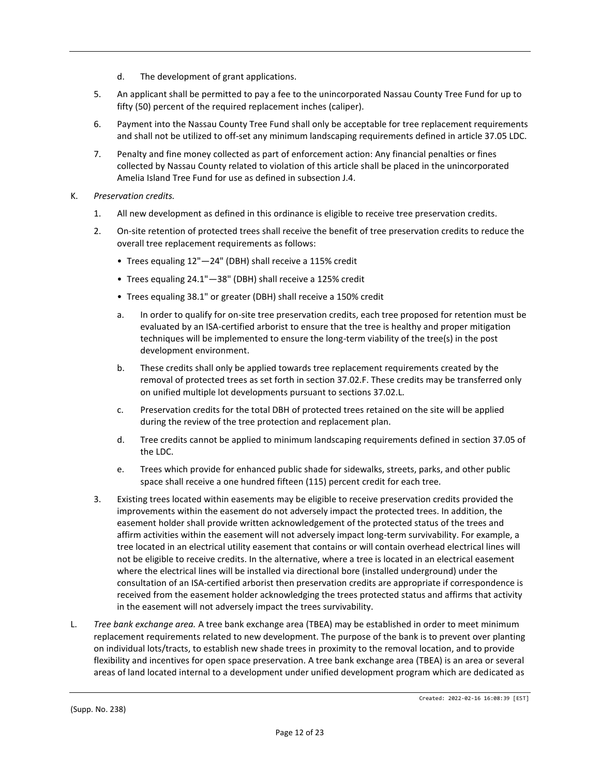- d. The development of grant applications.
- 5. An applicant shall be permitted to pay a fee to the unincorporated Nassau County Tree Fund for up to fifty (50) percent of the required replacement inches (caliper).
- 6. Payment into the Nassau County Tree Fund shall only be acceptable for tree replacement requirements and shall not be utilized to off-set any minimum landscaping requirements defined in article 37.05 LDC.
- 7. Penalty and fine money collected as part of enforcement action: Any financial penalties or fines collected by Nassau County related to violation of this article shall be placed in the unincorporated Amelia Island Tree Fund for use as defined in subsection J.4.
- K. *Preservation credits.*
	- 1. All new development as defined in this ordinance is eligible to receive tree preservation credits.
	- 2. On-site retention of protected trees shall receive the benefit of tree preservation credits to reduce the overall tree replacement requirements as follows:
		- Trees equaling 12"—24" (DBH) shall receive a 115% credit
		- Trees equaling 24.1"—38" (DBH) shall receive a 125% credit
		- Trees equaling 38.1" or greater (DBH) shall receive a 150% credit
		- a. In order to qualify for on-site tree preservation credits, each tree proposed for retention must be evaluated by an ISA-certified arborist to ensure that the tree is healthy and proper mitigation techniques will be implemented to ensure the long-term viability of the tree(s) in the post development environment.
		- b. These credits shall only be applied towards tree replacement requirements created by the removal of protected trees as set forth in section 37.02.F. These credits may be transferred only on unified multiple lot developments pursuant to sections 37.02.L.
		- c. Preservation credits for the total DBH of protected trees retained on the site will be applied during the review of the tree protection and replacement plan.
		- d. Tree credits cannot be applied to minimum landscaping requirements defined in section 37.05 of the LDC.
		- e. Trees which provide for enhanced public shade for sidewalks, streets, parks, and other public space shall receive a one hundred fifteen (115) percent credit for each tree.
	- 3. Existing trees located within easements may be eligible to receive preservation credits provided the improvements within the easement do not adversely impact the protected trees. In addition, the easement holder shall provide written acknowledgement of the protected status of the trees and affirm activities within the easement will not adversely impact long-term survivability. For example, a tree located in an electrical utility easement that contains or will contain overhead electrical lines will not be eligible to receive credits. In the alternative, where a tree is located in an electrical easement where the electrical lines will be installed via directional bore (installed underground) under the consultation of an ISA-certified arborist then preservation credits are appropriate if correspondence is received from the easement holder acknowledging the trees protected status and affirms that activity in the easement will not adversely impact the trees survivability.
- L. *Tree bank exchange area.* A tree bank exchange area (TBEA) may be established in order to meet minimum replacement requirements related to new development. The purpose of the bank is to prevent over planting on individual lots/tracts, to establish new shade trees in proximity to the removal location, and to provide flexibility and incentives for open space preservation. A tree bank exchange area (TBEA) is an area or several areas of land located internal to a development under unified development program which are dedicated as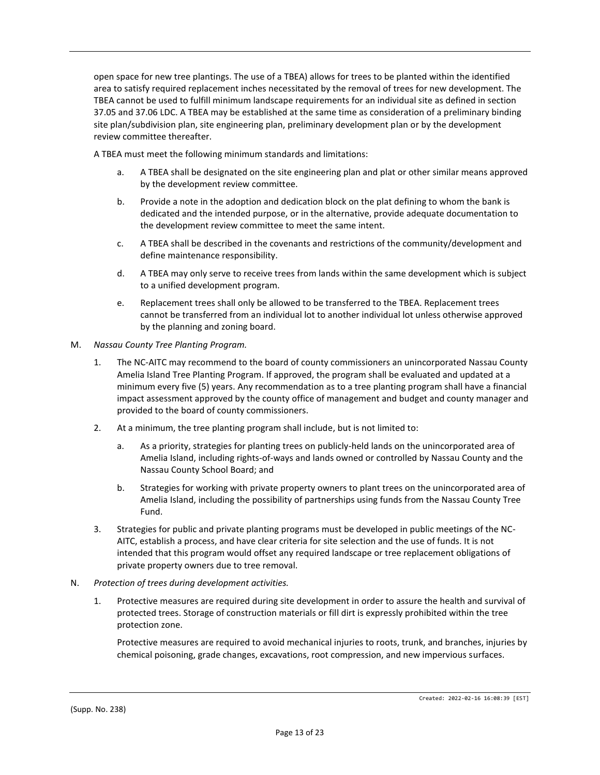open space for new tree plantings. The use of a TBEA) allows for trees to be planted within the identified area to satisfy required replacement inches necessitated by the removal of trees for new development. The TBEA cannot be used to fulfill minimum landscape requirements for an individual site as defined in section 37.05 and 37.06 LDC. A TBEA may be established at the same time as consideration of a preliminary binding site plan/subdivision plan, site engineering plan, preliminary development plan or by the development review committee thereafter.

A TBEA must meet the following minimum standards and limitations:

- a. A TBEA shall be designated on the site engineering plan and plat or other similar means approved by the development review committee.
- b. Provide a note in the adoption and dedication block on the plat defining to whom the bank is dedicated and the intended purpose, or in the alternative, provide adequate documentation to the development review committee to meet the same intent.
- c. A TBEA shall be described in the covenants and restrictions of the community/development and define maintenance responsibility.
- d. A TBEA may only serve to receive trees from lands within the same development which is subject to a unified development program.
- e. Replacement trees shall only be allowed to be transferred to the TBEA. Replacement trees cannot be transferred from an individual lot to another individual lot unless otherwise approved by the planning and zoning board.
- M. *Nassau County Tree Planting Program.*
	- 1. The NC-AITC may recommend to the board of county commissioners an unincorporated Nassau County Amelia Island Tree Planting Program. If approved, the program shall be evaluated and updated at a minimum every five (5) years. Any recommendation as to a tree planting program shall have a financial impact assessment approved by the county office of management and budget and county manager and provided to the board of county commissioners.
	- 2. At a minimum, the tree planting program shall include, but is not limited to:
		- a. As a priority, strategies for planting trees on publicly-held lands on the unincorporated area of Amelia Island, including rights-of-ways and lands owned or controlled by Nassau County and the Nassau County School Board; and
		- b. Strategies for working with private property owners to plant trees on the unincorporated area of Amelia Island, including the possibility of partnerships using funds from the Nassau County Tree Fund.
	- 3. Strategies for public and private planting programs must be developed in public meetings of the NC-AITC, establish a process, and have clear criteria for site selection and the use of funds. It is not intended that this program would offset any required landscape or tree replacement obligations of private property owners due to tree removal.
- N. *Protection of trees during development activities.*
	- 1. Protective measures are required during site development in order to assure the health and survival of protected trees. Storage of construction materials or fill dirt is expressly prohibited within the tree protection zone.

Protective measures are required to avoid mechanical injuries to roots, trunk, and branches, injuries by chemical poisoning, grade changes, excavations, root compression, and new impervious surfaces.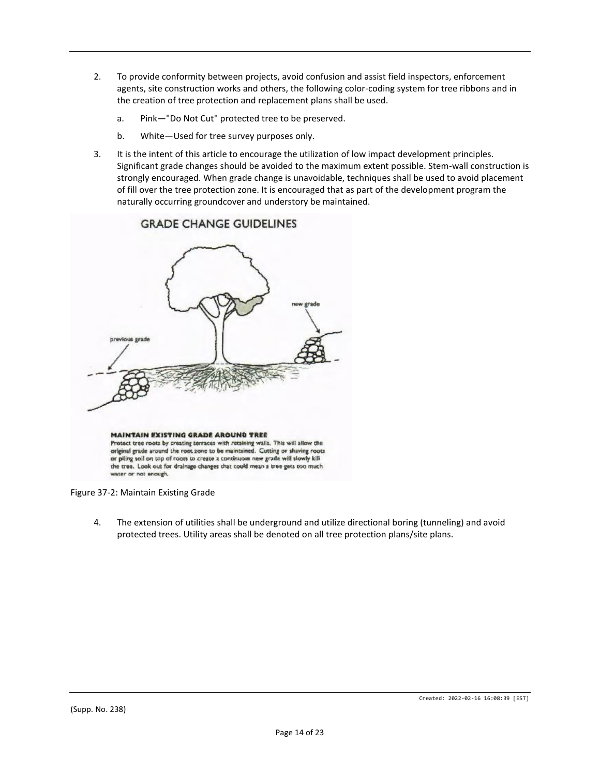- 2. To provide conformity between projects, avoid confusion and assist field inspectors, enforcement agents, site construction works and others, the following color-coding system for tree ribbons and in the creation of tree protection and replacement plans shall be used.
	- a. Pink—"Do Not Cut" protected tree to be preserved.
	- b. White—Used for tree survey purposes only.
- 3. It is the intent of this article to encourage the utilization of low impact development principles. Significant grade changes should be avoided to the maximum extent possible. Stem-wall construction is strongly encouraged. When grade change is unavoidable, techniques shall be used to avoid placement of fill over the tree protection zone. It is encouraged that as part of the development program the naturally occurring groundcover and understory be maintained.



## **GRADE CHANGE GUIDELINES**

Figure 37-2: Maintain Existing Grade

4. The extension of utilities shall be underground and utilize directional boring (tunneling) and avoid protected trees. Utility areas shall be denoted on all tree protection plans/site plans.

Created: 2022-02-16 16:08:39 [EST]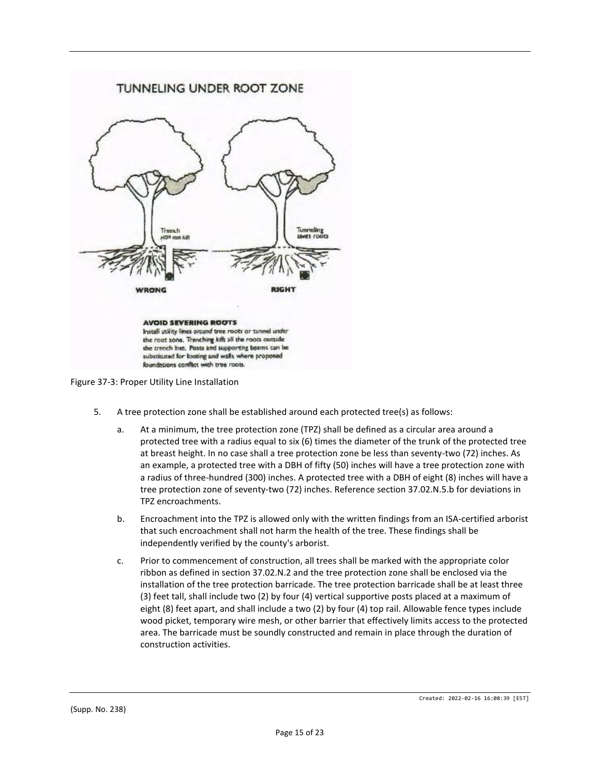



- 5. A tree protection zone shall be established around each protected tree(s) as follows:
	- a. At a minimum, the tree protection zone (TPZ) shall be defined as a circular area around a protected tree with a radius equal to six (6) times the diameter of the trunk of the protected tree at breast height. In no case shall a tree protection zone be less than seventy-two (72) inches. As an example, a protected tree with a DBH of fifty (50) inches will have a tree protection zone with a radius of three-hundred (300) inches. A protected tree with a DBH of eight (8) inches will have a tree protection zone of seventy-two (72) inches. Reference section 37.02.N.5.b for deviations in TPZ encroachments.
	- b. Encroachment into the TPZ is allowed only with the written findings from an ISA-certified arborist that such encroachment shall not harm the health of the tree. These findings shall be independently verified by the county's arborist.
	- c. Prior to commencement of construction, all trees shall be marked with the appropriate color ribbon as defined in section 37.02.N.2 and the tree protection zone shall be enclosed via the installation of the tree protection barricade. The tree protection barricade shall be at least three (3) feet tall, shall include two (2) by four (4) vertical supportive posts placed at a maximum of eight (8) feet apart, and shall include a two (2) by four (4) top rail. Allowable fence types include wood picket, temporary wire mesh, or other barrier that effectively limits access to the protected area. The barricade must be soundly constructed and remain in place through the duration of construction activities.

Created: 2022-02-16 16:08:39 [EST]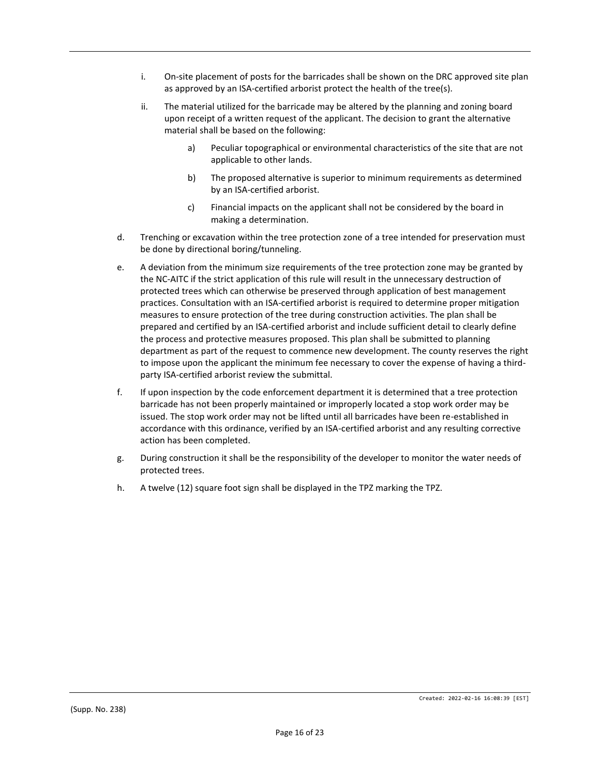- i. On-site placement of posts for the barricades shall be shown on the DRC approved site plan as approved by an ISA-certified arborist protect the health of the tree(s).
- ii. The material utilized for the barricade may be altered by the planning and zoning board upon receipt of a written request of the applicant. The decision to grant the alternative material shall be based on the following:
	- a) Peculiar topographical or environmental characteristics of the site that are not applicable to other lands.
	- b) The proposed alternative is superior to minimum requirements as determined by an ISA-certified arborist.
	- c) Financial impacts on the applicant shall not be considered by the board in making a determination.
- d. Trenching or excavation within the tree protection zone of a tree intended for preservation must be done by directional boring/tunneling.
- e. A deviation from the minimum size requirements of the tree protection zone may be granted by the NC-AITC if the strict application of this rule will result in the unnecessary destruction of protected trees which can otherwise be preserved through application of best management practices. Consultation with an ISA-certified arborist is required to determine proper mitigation measures to ensure protection of the tree during construction activities. The plan shall be prepared and certified by an ISA-certified arborist and include sufficient detail to clearly define the process and protective measures proposed. This plan shall be submitted to planning department as part of the request to commence new development. The county reserves the right to impose upon the applicant the minimum fee necessary to cover the expense of having a thirdparty ISA-certified arborist review the submittal.
- f. If upon inspection by the code enforcement department it is determined that a tree protection barricade has not been properly maintained or improperly located a stop work order may be issued. The stop work order may not be lifted until all barricades have been re-established in accordance with this ordinance, verified by an ISA-certified arborist and any resulting corrective action has been completed.
- g. During construction it shall be the responsibility of the developer to monitor the water needs of protected trees.
- h. A twelve (12) square foot sign shall be displayed in the TPZ marking the TPZ.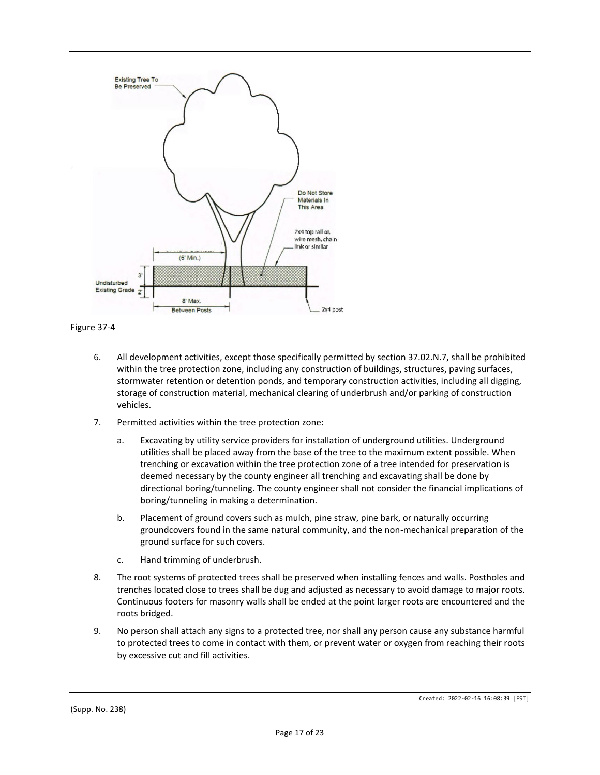

Figure 37-4

- 6. All development activities, except those specifically permitted by section 37.02.N.7, shall be prohibited within the tree protection zone, including any construction of buildings, structures, paving surfaces, stormwater retention or detention ponds, and temporary construction activities, including all digging, storage of construction material, mechanical clearing of underbrush and/or parking of construction vehicles.
- 7. Permitted activities within the tree protection zone:
	- a. Excavating by utility service providers for installation of underground utilities. Underground utilities shall be placed away from the base of the tree to the maximum extent possible. When trenching or excavation within the tree protection zone of a tree intended for preservation is deemed necessary by the county engineer all trenching and excavating shall be done by directional boring/tunneling. The county engineer shall not consider the financial implications of boring/tunneling in making a determination.
	- b. Placement of ground covers such as mulch, pine straw, pine bark, or naturally occurring groundcovers found in the same natural community, and the non-mechanical preparation of the ground surface for such covers.
	- c. Hand trimming of underbrush.
- 8. The root systems of protected trees shall be preserved when installing fences and walls. Postholes and trenches located close to trees shall be dug and adjusted as necessary to avoid damage to major roots. Continuous footers for masonry walls shall be ended at the point larger roots are encountered and the roots bridged.
- 9. No person shall attach any signs to a protected tree, nor shall any person cause any substance harmful to protected trees to come in contact with them, or prevent water or oxygen from reaching their roots by excessive cut and fill activities.

(Supp. No. 238)

Created: 2022-02-16 16:08:39 [EST]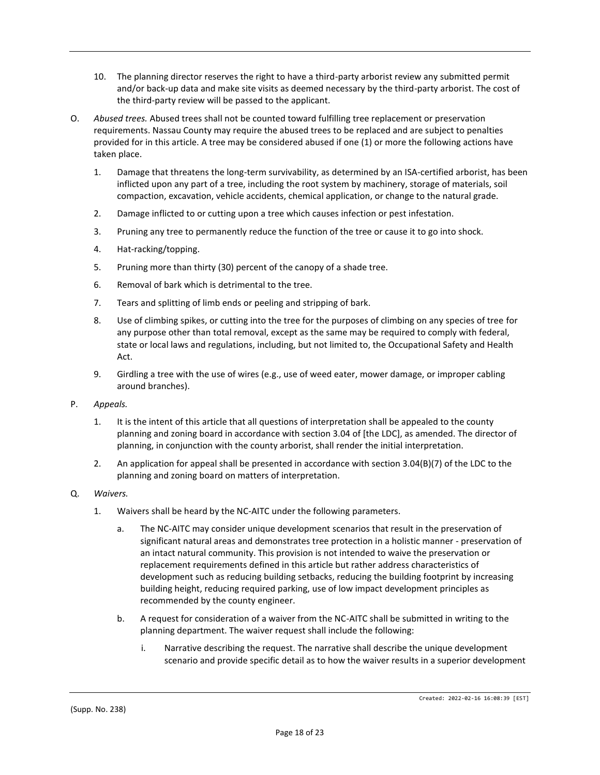- 10. The planning director reserves the right to have a third-party arborist review any submitted permit and/or back-up data and make site visits as deemed necessary by the third-party arborist. The cost of the third-party review will be passed to the applicant.
- O. *Abused trees.* Abused trees shall not be counted toward fulfilling tree replacement or preservation requirements. Nassau County may require the abused trees to be replaced and are subject to penalties provided for in this article. A tree may be considered abused if one (1) or more the following actions have taken place.
	- 1. Damage that threatens the long-term survivability, as determined by an ISA-certified arborist, has been inflicted upon any part of a tree, including the root system by machinery, storage of materials, soil compaction, excavation, vehicle accidents, chemical application, or change to the natural grade.
	- 2. Damage inflicted to or cutting upon a tree which causes infection or pest infestation.
	- 3. Pruning any tree to permanently reduce the function of the tree or cause it to go into shock.
	- 4. Hat-racking/topping.
	- 5. Pruning more than thirty (30) percent of the canopy of a shade tree.
	- 6. Removal of bark which is detrimental to the tree.
	- 7. Tears and splitting of limb ends or peeling and stripping of bark.
	- 8. Use of climbing spikes, or cutting into the tree for the purposes of climbing on any species of tree for any purpose other than total removal, except as the same may be required to comply with federal, state or local laws and regulations, including, but not limited to, the Occupational Safety and Health Act.
	- 9. Girdling a tree with the use of wires (e.g., use of weed eater, mower damage, or improper cabling around branches).
- P. *Appeals.*
	- 1. It is the intent of this article that all questions of interpretation shall be appealed to the county planning and zoning board in accordance with section 3.04 of [the LDC], as amended. The director of planning, in conjunction with the county arborist, shall render the initial interpretation.
	- 2. An application for appeal shall be presented in accordance with section 3.04(B)(7) of the LDC to the planning and zoning board on matters of interpretation.
- Q. *Waivers.*
	- 1. Waivers shall be heard by the NC-AITC under the following parameters.
		- a. The NC-AITC may consider unique development scenarios that result in the preservation of significant natural areas and demonstrates tree protection in a holistic manner - preservation of an intact natural community. This provision is not intended to waive the preservation or replacement requirements defined in this article but rather address characteristics of development such as reducing building setbacks, reducing the building footprint by increasing building height, reducing required parking, use of low impact development principles as recommended by the county engineer.
		- b. A request for consideration of a waiver from the NC-AITC shall be submitted in writing to the planning department. The waiver request shall include the following:
			- i. Narrative describing the request. The narrative shall describe the unique development scenario and provide specific detail as to how the waiver results in a superior development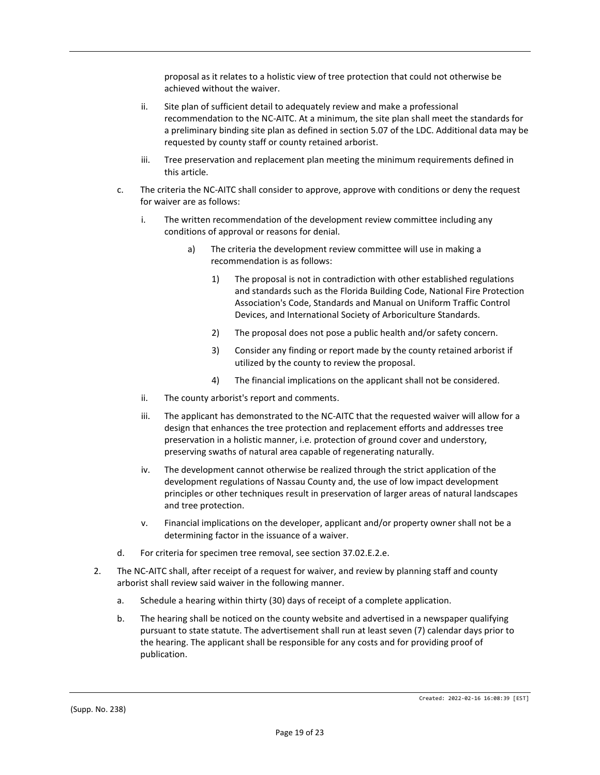proposal as it relates to a holistic view of tree protection that could not otherwise be achieved without the waiver.

- ii. Site plan of sufficient detail to adequately review and make a professional recommendation to the NC-AITC. At a minimum, the site plan shall meet the standards for a preliminary binding site plan as defined in section 5.07 of the LDC. Additional data may be requested by county staff or county retained arborist.
- iii. Tree preservation and replacement plan meeting the minimum requirements defined in this article.
- c. The criteria the NC-AITC shall consider to approve, approve with conditions or deny the request for waiver are as follows:
	- i. The written recommendation of the development review committee including any conditions of approval or reasons for denial.
		- a) The criteria the development review committee will use in making a recommendation is as follows:
			- 1) The proposal is not in contradiction with other established regulations and standards such as the Florida Building Code, National Fire Protection Association's Code, Standards and Manual on Uniform Traffic Control Devices, and International Society of Arboriculture Standards.
			- 2) The proposal does not pose a public health and/or safety concern.
			- 3) Consider any finding or report made by the county retained arborist if utilized by the county to review the proposal.
			- 4) The financial implications on the applicant shall not be considered.
	- ii. The county arborist's report and comments.
	- iii. The applicant has demonstrated to the NC-AITC that the requested waiver will allow for a design that enhances the tree protection and replacement efforts and addresses tree preservation in a holistic manner, i.e. protection of ground cover and understory, preserving swaths of natural area capable of regenerating naturally.
	- iv. The development cannot otherwise be realized through the strict application of the development regulations of Nassau County and, the use of low impact development principles or other techniques result in preservation of larger areas of natural landscapes and tree protection.
	- v. Financial implications on the developer, applicant and/or property owner shall not be a determining factor in the issuance of a waiver.
- d. For criteria for specimen tree removal, see section 37.02.E.2.e.
- 2. The NC-AITC shall, after receipt of a request for waiver, and review by planning staff and county arborist shall review said waiver in the following manner.
	- a. Schedule a hearing within thirty (30) days of receipt of a complete application.
	- b. The hearing shall be noticed on the county website and advertised in a newspaper qualifying pursuant to state statute. The advertisement shall run at least seven (7) calendar days prior to the hearing. The applicant shall be responsible for any costs and for providing proof of publication.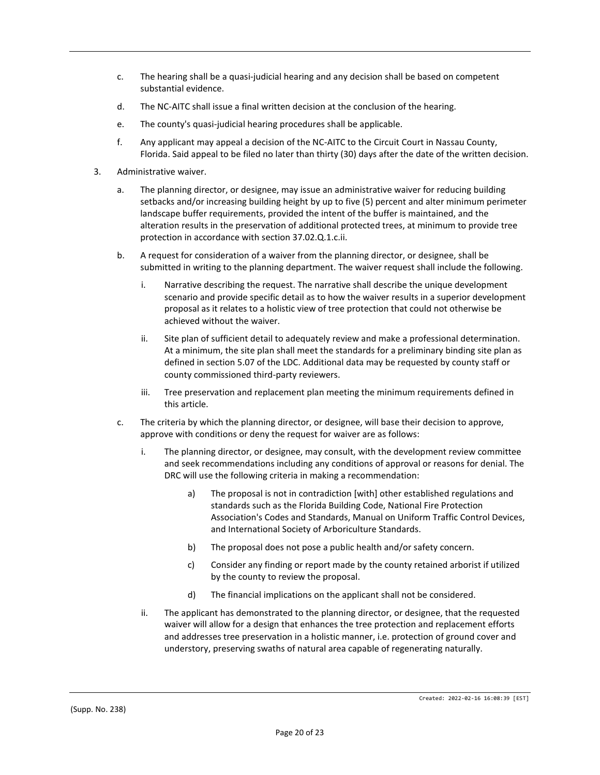- c. The hearing shall be a quasi-judicial hearing and any decision shall be based on competent substantial evidence.
- d. The NC-AITC shall issue a final written decision at the conclusion of the hearing.
- e. The county's quasi-judicial hearing procedures shall be applicable.
- f. Any applicant may appeal a decision of the NC-AITC to the Circuit Court in Nassau County, Florida. Said appeal to be filed no later than thirty (30) days after the date of the written decision.
- 3. Administrative waiver.
	- a. The planning director, or designee, may issue an administrative waiver for reducing building setbacks and/or increasing building height by up to five (5) percent and alter minimum perimeter landscape buffer requirements, provided the intent of the buffer is maintained, and the alteration results in the preservation of additional protected trees, at minimum to provide tree protection in accordance with section 37.02.Q.1.c.ii.
	- b. A request for consideration of a waiver from the planning director, or designee, shall be submitted in writing to the planning department. The waiver request shall include the following.
		- i. Narrative describing the request. The narrative shall describe the unique development scenario and provide specific detail as to how the waiver results in a superior development proposal as it relates to a holistic view of tree protection that could not otherwise be achieved without the waiver.
		- ii. Site plan of sufficient detail to adequately review and make a professional determination. At a minimum, the site plan shall meet the standards for a preliminary binding site plan as defined in section 5.07 of the LDC. Additional data may be requested by county staff or county commissioned third-party reviewers.
		- iii. Tree preservation and replacement plan meeting the minimum requirements defined in this article.
	- c. The criteria by which the planning director, or designee, will base their decision to approve, approve with conditions or deny the request for waiver are as follows:
		- i. The planning director, or designee, may consult, with the development review committee and seek recommendations including any conditions of approval or reasons for denial. The DRC will use the following criteria in making a recommendation:
			- a) The proposal is not in contradiction [with] other established regulations and standards such as the Florida Building Code, National Fire Protection Association's Codes and Standards, Manual on Uniform Traffic Control Devices, and International Society of Arboriculture Standards.
			- b) The proposal does not pose a public health and/or safety concern.
			- c) Consider any finding or report made by the county retained arborist if utilized by the county to review the proposal.
			- d) The financial implications on the applicant shall not be considered.
		- ii. The applicant has demonstrated to the planning director, or designee, that the requested waiver will allow for a design that enhances the tree protection and replacement efforts and addresses tree preservation in a holistic manner, i.e. protection of ground cover and understory, preserving swaths of natural area capable of regenerating naturally.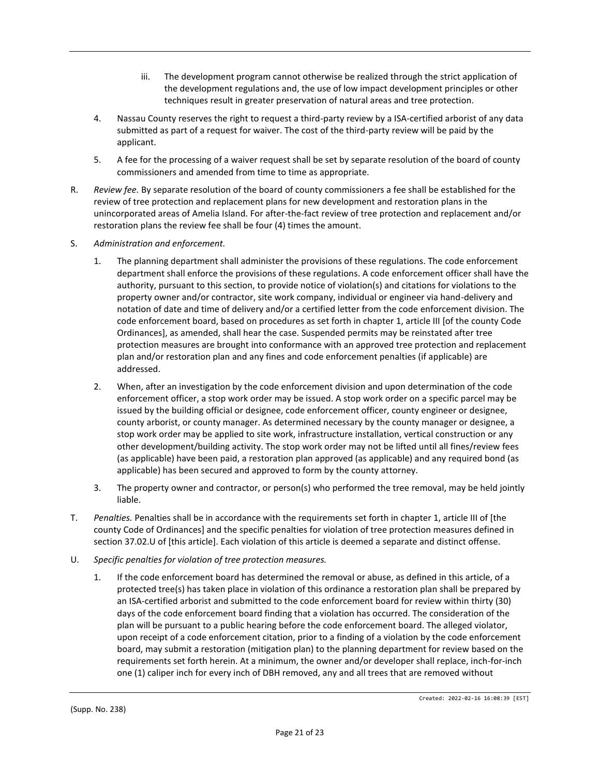- iii. The development program cannot otherwise be realized through the strict application of the development regulations and, the use of low impact development principles or other techniques result in greater preservation of natural areas and tree protection.
- 4. Nassau County reserves the right to request a third-party review by a ISA-certified arborist of any data submitted as part of a request for waiver. The cost of the third-party review will be paid by the applicant.
- 5. A fee for the processing of a waiver request shall be set by separate resolution of the board of county commissioners and amended from time to time as appropriate.
- R. *Review fee.* By separate resolution of the board of county commissioners a fee shall be established for the review of tree protection and replacement plans for new development and restoration plans in the unincorporated areas of Amelia Island. For after-the-fact review of tree protection and replacement and/or restoration plans the review fee shall be four (4) times the amount.
- S. *Administration and enforcement.*
	- 1. The planning department shall administer the provisions of these regulations. The code enforcement department shall enforce the provisions of these regulations. A code enforcement officer shall have the authority, pursuant to this section, to provide notice of violation(s) and citations for violations to the property owner and/or contractor, site work company, individual or engineer via hand-delivery and notation of date and time of delivery and/or a certified letter from the code enforcement division. The code enforcement board, based on procedures as set forth in chapter 1, article III [of the county Code Ordinances], as amended, shall hear the case. Suspended permits may be reinstated after tree protection measures are brought into conformance with an approved tree protection and replacement plan and/or restoration plan and any fines and code enforcement penalties (if applicable) are addressed.
	- 2. When, after an investigation by the code enforcement division and upon determination of the code enforcement officer, a stop work order may be issued. A stop work order on a specific parcel may be issued by the building official or designee, code enforcement officer, county engineer or designee, county arborist, or county manager. As determined necessary by the county manager or designee, a stop work order may be applied to site work, infrastructure installation, vertical construction or any other development/building activity. The stop work order may not be lifted until all fines/review fees (as applicable) have been paid, a restoration plan approved (as applicable) and any required bond (as applicable) has been secured and approved to form by the county attorney.
	- 3. The property owner and contractor, or person(s) who performed the tree removal, may be held jointly liable.
- T. *Penalties.* Penalties shall be in accordance with the requirements set forth in chapter 1, article III of [the county Code of Ordinances] and the specific penalties for violation of tree protection measures defined in section 37.02.U of [this article]. Each violation of this article is deemed a separate and distinct offense.
- U. *Specific penalties for violation of tree protection measures.*
	- 1. If the code enforcement board has determined the removal or abuse, as defined in this article, of a protected tree(s) has taken place in violation of this ordinance a restoration plan shall be prepared by an ISA-certified arborist and submitted to the code enforcement board for review within thirty (30) days of the code enforcement board finding that a violation has occurred. The consideration of the plan will be pursuant to a public hearing before the code enforcement board. The alleged violator, upon receipt of a code enforcement citation, prior to a finding of a violation by the code enforcement board, may submit a restoration (mitigation plan) to the planning department for review based on the requirements set forth herein. At a minimum, the owner and/or developer shall replace, inch-for-inch one (1) caliper inch for every inch of DBH removed, any and all trees that are removed without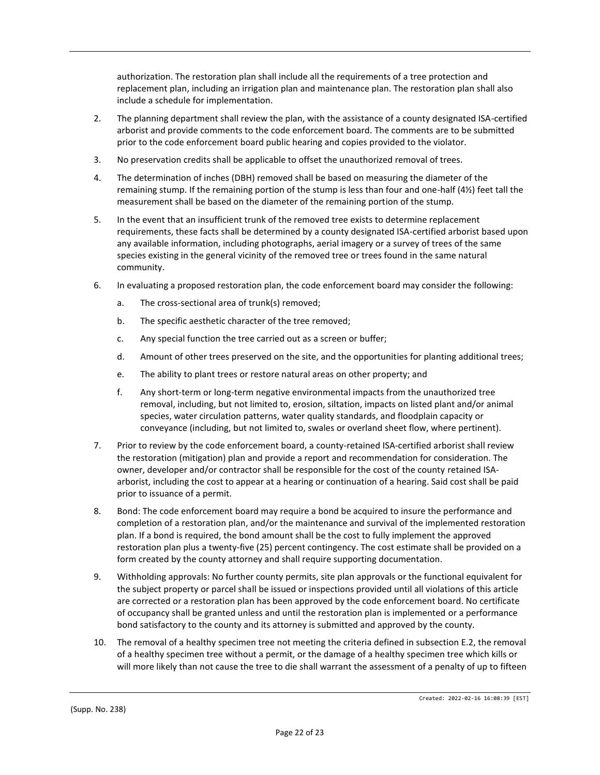authorization. The restoration plan shall include all the requirements of a tree protection and replacement plan, including an irrigation plan and maintenance plan. The restoration plan shall also include a schedule for implementation.

- 2. The planning department shall review the plan, with the assistance of a county designated ISA-certified arborist and provide comments to the code enforcement board. The comments are to be submitted prior to the code enforcement board public hearing and copies provided to the violator.
- 3. No preservation credits shall be applicable to offset the unauthorized removal of trees.
- 4. The determination of inches (DBH) removed shall be based on measuring the diameter of the remaining stump. If the remaining portion of the stump is less than four and one-half (4½) feet tall the measurement shall be based on the diameter of the remaining portion of the stump.
- 5. In the event that an insufficient trunk of the removed tree exists to determine replacement requirements, these facts shall be determined by a county designated ISA-certified arborist based upon any available information, including photographs, aerial imagery or a survey of trees of the same species existing in the general vicinity of the removed tree or trees found in the same natural community.
- 6. In evaluating a proposed restoration plan, the code enforcement board may consider the following:
	- a. The cross-sectional area of trunk(s) removed;
	- b. The specific aesthetic character of the tree removed;
	- c. Any special function the tree carried out as a screen or buffer;
	- d. Amount of other trees preserved on the site, and the opportunities for planting additional trees;
	- e. The ability to plant trees or restore natural areas on other property; and
	- f. Any short-term or long-term negative environmental impacts from the unauthorized tree removal, including, but not limited to, erosion, siltation, impacts on listed plant and/or animal species, water circulation patterns, water quality standards, and floodplain capacity or conveyance (including, but not limited to, swales or overland sheet flow, where pertinent).
- 7. Prior to review by the code enforcement board, a county-retained ISA-certified arborist shall review the restoration (mitigation) plan and provide a report and recommendation for consideration. The owner, developer and/or contractor shall be responsible for the cost of the county retained ISAarborist, including the cost to appear at a hearing or continuation of a hearing. Said cost shall be paid prior to issuance of a permit.
- 8. Bond: The code enforcement board may require a bond be acquired to insure the performance and completion of a restoration plan, and/or the maintenance and survival of the implemented restoration plan. If a bond is required, the bond amount shall be the cost to fully implement the approved restoration plan plus a twenty-five (25) percent contingency. The cost estimate shall be provided on a form created by the county attorney and shall require supporting documentation.
- 9. Withholding approvals: No further county permits, site plan approvals or the functional equivalent for the subject property or parcel shall be issued or inspections provided until all violations of this article are corrected or a restoration plan has been approved by the code enforcement board. No certificate of occupancy shall be granted unless and until the restoration plan is implemented or a performance bond satisfactory to the county and its attorney is submitted and approved by the county.
- 10. The removal of a healthy specimen tree not meeting the criteria defined in subsection E.2, the removal of a healthy specimen tree without a permit, or the damage of a healthy specimen tree which kills or will more likely than not cause the tree to die shall warrant the assessment of a penalty of up to fifteen